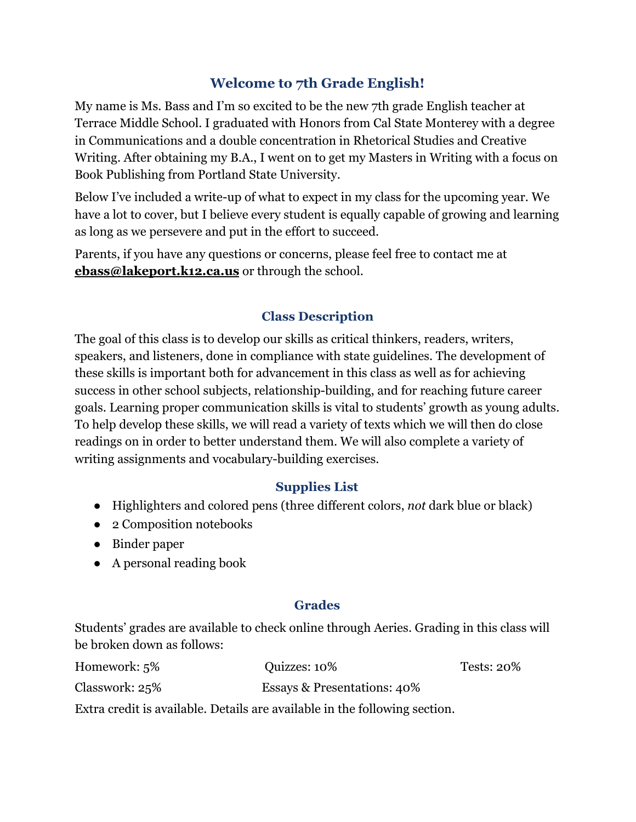# **Welcome to 7th Grade English!**

My name is Ms. Bass and I'm so excited to be the new 7th grade English teacher at Terrace Middle School. I graduated with Honors from Cal State Monterey with a degree in Communications and a double concentration in Rhetorical Studies and Creative Writing. After obtaining my B.A., I went on to get my Masters in Writing with a focus on Book Publishing from Portland State University.

Below I've included a write-up of what to expect in my class for the upcoming year. We have a lot to cover, but I believe every student is equally capable of growing and learning as long as we persevere and put in the effort to succeed.

Parents, if you have any questions or concerns, please feel free to contact me at **[ebass@lakeport.k12.ca.us](mailto:ebass@lakeport.k12.ca.us)** or through the school.

### **Class Description**

The goal of this class is to develop our skills as critical thinkers, readers, writers, speakers, and listeners, done in compliance with state guidelines. The development of these skills is important both for advancement in this class as well as for achieving success in other school subjects, relationship-building, and for reaching future career goals. Learning proper communication skills is vital to students' growth as young adults. To help develop these skills, we will read a variety of texts which we will then do close readings on in order to better understand them. We will also complete a variety of writing assignments and vocabulary-building exercises.

#### **Supplies List**

- Highlighters and colored pens (three different colors, *not* dark blue or black)
- 2 Composition notebooks
- Binder paper
- A personal reading book

#### **Grades**

Students' grades are available to check online through Aeries. Grading in this class will be broken down as follows:

| Homework: 5%   | Quizzes: 10%                                                               | Tests: 20% |
|----------------|----------------------------------------------------------------------------|------------|
| Classwork: 25% | <b>Essays &amp; Presentations: 40%</b>                                     |            |
|                | Extra credit is available. Details are available in the following section. |            |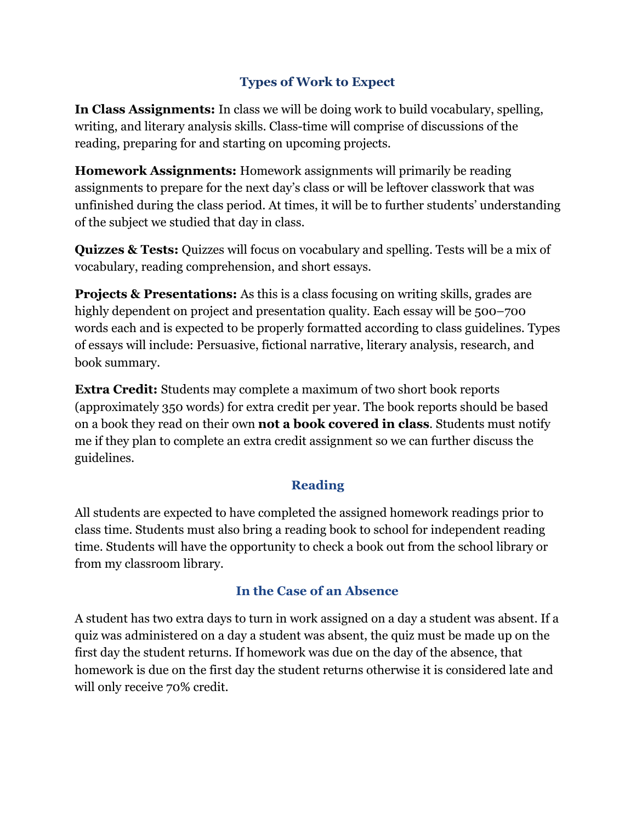## **Types of Work to Expect**

**In Class Assignments:** In class we will be doing work to build vocabulary, spelling, writing, and literary analysis skills. Class-time will comprise of discussions of the reading, preparing for and starting on upcoming projects.

**Homework Assignments:** Homework assignments will primarily be reading assignments to prepare for the next day's class or will be leftover classwork that was unfinished during the class period. At times, it will be to further students' understanding of the subject we studied that day in class.

**Quizzes & Tests:** Quizzes will focus on vocabulary and spelling. Tests will be a mix of vocabulary, reading comprehension, and short essays.

**Projects & Presentations:** As this is a class focusing on writing skills, grades are highly dependent on project and presentation quality. Each essay will be 500–700 words each and is expected to be properly formatted according to class guidelines. Types of essays will include: Persuasive, fictional narrative, literary analysis, research, and book summary.

**Extra Credit:** Students may complete a maximum of two short book reports (approximately 350 words) for extra credit per year. The book reports should be based on a book they read on their own **not a book covered in class**. Students must notify me if they plan to complete an extra credit assignment so we can further discuss the guidelines.

### **Reading**

All students are expected to have completed the assigned homework readings prior to class time. Students must also bring a reading book to school for independent reading time. Students will have the opportunity to check a book out from the school library or from my classroom library.

### **In the Case of an Absence**

A student has two extra days to turn in work assigned on a day a student was absent. If a quiz was administered on a day a student was absent, the quiz must be made up on the first day the student returns. If homework was due on the day of the absence, that homework is due on the first day the student returns otherwise it is considered late and will only receive 70% credit.